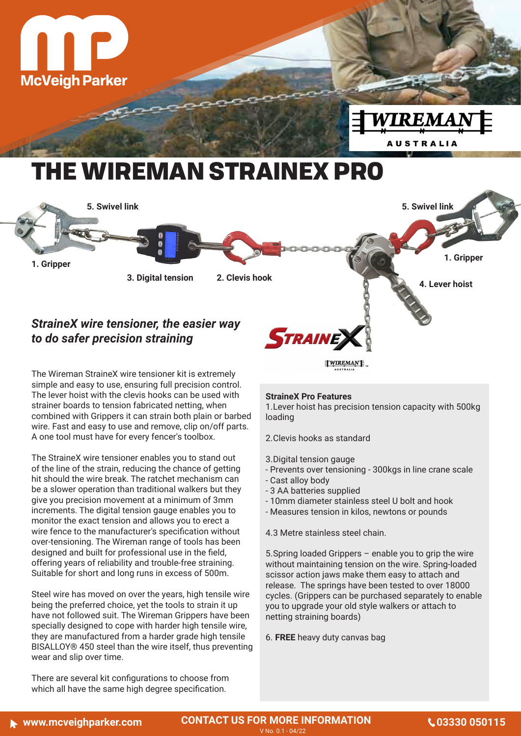

## *StraineX wire tensioner, the easier way to do safer precision straining*

The Wireman StraineX wire tensioner kit is extremely simple and easy to use, ensuring full precision control. The lever hoist with the clevis hooks can be used with strainer boards to tension fabricated netting, when combined with Grippers it can strain both plain or barbed wire. Fast and easy to use and remove, clip on/off parts. A one tool must have for every fencer's toolbox.

The StraineX wire tensioner enables you to stand out of the line of the strain, reducing the chance of getting hit should the wire break. The ratchet mechanism can be a slower operation than traditional walkers but they give you precision movement at a minimum of 3mm increments. The digital tension gauge enables you to monitor the exact tension and allows you to erect a wire fence to the manufacturer's specification without over-tensioning. The Wireman range of tools has been designed and built for professional use in the field, offering years of reliability and trouble-free straining. Suitable for short and long runs in excess of 500m.

Steel wire has moved on over the years, high tensile wire being the preferred choice, yet the tools to strain it up have not followed suit. The Wireman Grippers have been specially designed to cope with harder high tensile wire, they are manufactured from a harder grade high tensile BISALLOY® 450 steel than the wire itself, thus preventing wear and slip over time.

There are several kit configurations to choose from which all have the same high degree specification.

## **StraineX Pro Features**

**STRAINE** 

1.Lever hoist has precision tension capacity with 500kg loading

**WIREMANE** 

2.Clevis hooks as standard

- 3.Digital tension gauge
- Prevents over tensioning 300kgs in line crane scale
- Cast alloy body
- 3 AA batteries supplied
- 10mm diameter stainless steel U bolt and hook
- Measures tension in kilos, newtons or pounds

4.3 Metre stainless steel chain.

5.Spring loaded Grippers – enable you to grip the wire without maintaining tension on the wire. Spring-loaded scissor action jaws make them easy to attach and release. The springs have been tested to over 18000 cycles. (Grippers can be purchased separately to enable you to upgrade your old style walkers or attach to netting straining boards)

6. **FREE** heavy duty canvas bag